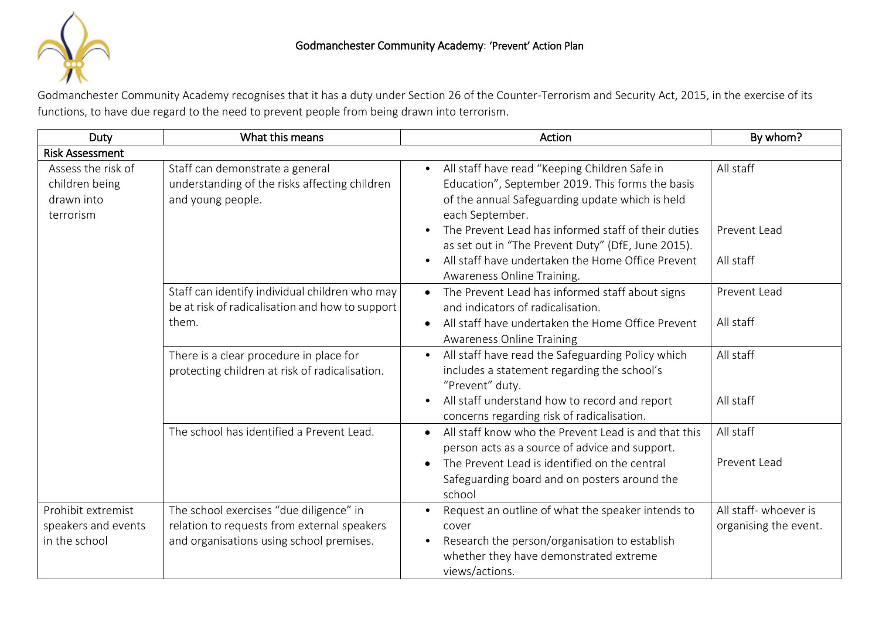

Godmanchester Community Academy recognises that it has a duty under Section 26 of the Counter-Terrorism and Security Act, 2015, in the exercise of its functions, to have due regard to the need to prevent people from being drawn into terrorism.

| Duty                                                            | What this means                                                                                                                    | Action                                                                                                                                                                                                                                      | By whom?                                       |  |  |  |
|-----------------------------------------------------------------|------------------------------------------------------------------------------------------------------------------------------------|---------------------------------------------------------------------------------------------------------------------------------------------------------------------------------------------------------------------------------------------|------------------------------------------------|--|--|--|
| <b>Risk Assessment</b>                                          |                                                                                                                                    |                                                                                                                                                                                                                                             |                                                |  |  |  |
| Assess the risk of<br>children being<br>drawn into<br>terrorism | Staff can demonstrate a general<br>understanding of the risks affecting children<br>and young people.                              | All staff have read "Keeping Children Safe in<br>$\bullet$<br>Education", September 2019. This forms the basis<br>of the annual Safeguarding update which is held<br>each September.<br>The Prevent Lead has informed staff of their duties | All staff<br>Prevent Lead                      |  |  |  |
|                                                                 |                                                                                                                                    | as set out in "The Prevent Duty" (DfE, June 2015).<br>All staff have undertaken the Home Office Prevent<br>Awareness Online Training.                                                                                                       | All staff                                      |  |  |  |
|                                                                 | Staff can identify individual children who may<br>be at risk of radicalisation and how to support<br>them.                         | The Prevent Lead has informed staff about signs<br>and indicators of radicalisation.<br>All staff have undertaken the Home Office Prevent<br><b>Awareness Online Training</b>                                                               | Prevent Lead<br>All staff                      |  |  |  |
|                                                                 | There is a clear procedure in place for<br>protecting children at risk of radicalisation.                                          | All staff have read the Safeguarding Policy which<br>$\bullet$<br>includes a statement regarding the school's<br>"Prevent" duty.<br>All staff understand how to record and report<br>concerns regarding risk of radicalisation.             | All staff<br>All staff                         |  |  |  |
|                                                                 | The school has identified a Prevent Lead.                                                                                          | All staff know who the Prevent Lead is and that this<br>person acts as a source of advice and support.<br>The Prevent Lead is identified on the central<br>$\bullet$<br>Safeguarding board and on posters around the<br>school              | All staff<br>Prevent Lead                      |  |  |  |
| Prohibit extremist<br>speakers and events<br>in the school      | The school exercises "due diligence" in<br>relation to requests from external speakers<br>and organisations using school premises. | Request an outline of what the speaker intends to<br>cover<br>Research the person/organisation to establish<br>whether they have demonstrated extreme<br>views/actions.                                                                     | All staff- whoever is<br>organising the event. |  |  |  |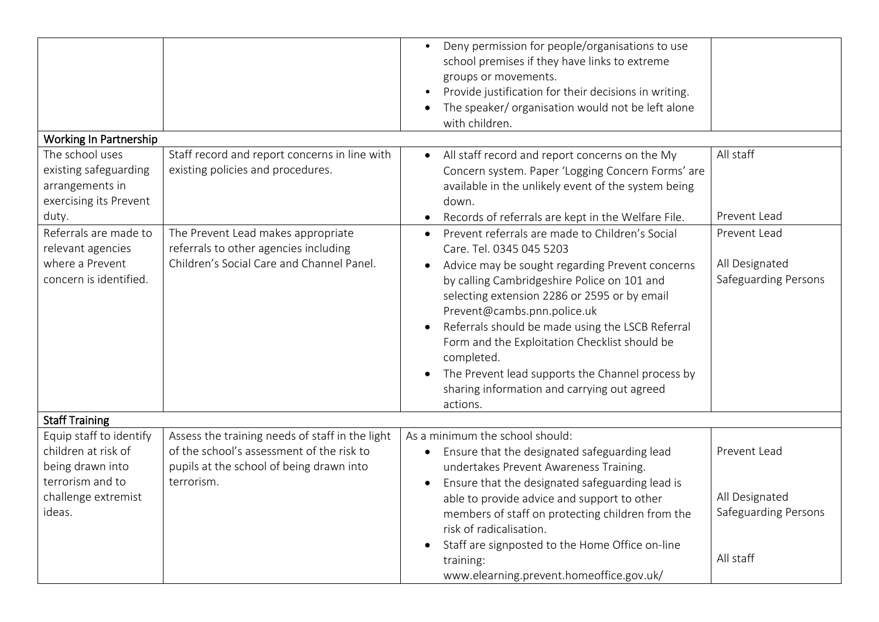|                                                                                         |                                                                                                                                          | Deny permission for people/organisations to use<br>$\bullet$<br>school premises if they have links to extreme<br>groups or movements.<br>Provide justification for their decisions in writing.<br>The speaker/ organisation would not be left alone<br>with children.                                                                                                                                                                                                                                                                              |                                                            |  |  |  |
|-----------------------------------------------------------------------------------------|------------------------------------------------------------------------------------------------------------------------------------------|----------------------------------------------------------------------------------------------------------------------------------------------------------------------------------------------------------------------------------------------------------------------------------------------------------------------------------------------------------------------------------------------------------------------------------------------------------------------------------------------------------------------------------------------------|------------------------------------------------------------|--|--|--|
| Working In Partnership                                                                  |                                                                                                                                          |                                                                                                                                                                                                                                                                                                                                                                                                                                                                                                                                                    |                                                            |  |  |  |
| The school uses<br>existing safeguarding<br>arrangements in<br>exercising its Prevent   | Staff record and report concerns in line with<br>existing policies and procedures.                                                       | All staff record and report concerns on the My<br>$\bullet$<br>Concern system. Paper 'Logging Concern Forms' are<br>available in the unlikely event of the system being<br>down.                                                                                                                                                                                                                                                                                                                                                                   | All staff                                                  |  |  |  |
| duty.                                                                                   |                                                                                                                                          | Records of referrals are kept in the Welfare File.<br>$\bullet$                                                                                                                                                                                                                                                                                                                                                                                                                                                                                    | Prevent Lead                                               |  |  |  |
| Referrals are made to<br>relevant agencies<br>where a Prevent<br>concern is identified. | The Prevent Lead makes appropriate<br>referrals to other agencies including<br>Children's Social Care and Channel Panel.                 | Prevent referrals are made to Children's Social<br>$\bullet$<br>Care. Tel. 0345 045 5203<br>Advice may be sought regarding Prevent concerns<br>$\bullet$<br>by calling Cambridgeshire Police on 101 and<br>selecting extension 2286 or 2595 or by email<br>Prevent@cambs.pnn.police.uk<br>Referrals should be made using the LSCB Referral<br>$\bullet$<br>Form and the Exploitation Checklist should be<br>completed.<br>The Prevent lead supports the Channel process by<br>$\bullet$<br>sharing information and carrying out agreed<br>actions. | Prevent Lead<br>All Designated<br>Safeguarding Persons     |  |  |  |
| <b>Staff Training</b>                                                                   |                                                                                                                                          |                                                                                                                                                                                                                                                                                                                                                                                                                                                                                                                                                    |                                                            |  |  |  |
| Equip staff to identify<br>children at risk of<br>being drawn into                      | Assess the training needs of staff in the light<br>of the school's assessment of the risk to<br>pupils at the school of being drawn into | As a minimum the school should:<br>Ensure that the designated safeguarding lead<br>$\bullet$<br>undertakes Prevent Awareness Training.                                                                                                                                                                                                                                                                                                                                                                                                             | Prevent Lead                                               |  |  |  |
| terrorism and to<br>challenge extremist<br>ideas.                                       | terrorism.                                                                                                                               | Ensure that the designated safeguarding lead is<br>able to provide advice and support to other<br>members of staff on protecting children from the<br>risk of radicalisation.<br>Staff are signposted to the Home Office on-line<br>$\bullet$                                                                                                                                                                                                                                                                                                      | All Designated<br><b>Safeguarding Persons</b><br>All staff |  |  |  |
|                                                                                         |                                                                                                                                          | training:<br>www.elearning.prevent.homeoffice.gov.uk/                                                                                                                                                                                                                                                                                                                                                                                                                                                                                              |                                                            |  |  |  |